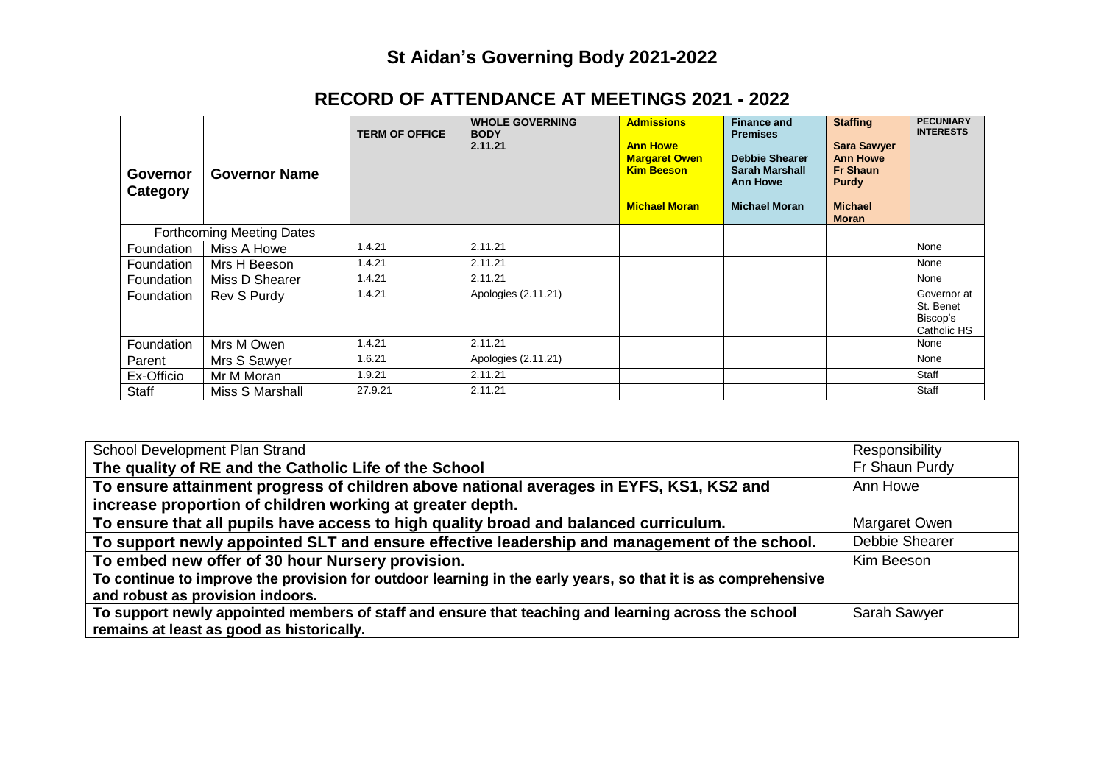## **St Aidan's Governing Body 2021-2022**

| Governor<br>Category             | <b>Governor Name</b> | <b>TERM OF OFFICE</b> | <b>WHOLE GOVERNING</b><br><b>BODY</b><br>2.11.21 | <b>Admissions</b><br><b>Ann Howe</b><br><b>Margaret Owen</b><br><b>Kim Beeson</b><br><b>Michael Moran</b> | <b>Finance and</b><br><b>Premises</b><br><b>Debbie Shearer</b><br><b>Sarah Marshall</b><br><b>Ann Howe</b><br><b>Michael Moran</b> | <b>Staffing</b><br><b>Sara Sawyer</b><br><b>Ann Howe</b><br><b>Fr Shaun</b><br>Purdy<br><b>Michael</b><br><b>Moran</b> | <b>PECUNIARY</b><br><b>INTERESTS</b>                |
|----------------------------------|----------------------|-----------------------|--------------------------------------------------|-----------------------------------------------------------------------------------------------------------|------------------------------------------------------------------------------------------------------------------------------------|------------------------------------------------------------------------------------------------------------------------|-----------------------------------------------------|
| <b>Forthcoming Meeting Dates</b> |                      |                       |                                                  |                                                                                                           |                                                                                                                                    |                                                                                                                        |                                                     |
| <b>Foundation</b>                | Miss A Howe          | 1.4.21                | 2.11.21                                          |                                                                                                           |                                                                                                                                    |                                                                                                                        | None                                                |
| <b>Foundation</b>                | Mrs H Beeson         | 1.4.21                | 2.11.21                                          |                                                                                                           |                                                                                                                                    |                                                                                                                        | None                                                |
| <b>Foundation</b>                | Miss D Shearer       | 1.4.21                | 2.11.21                                          |                                                                                                           |                                                                                                                                    |                                                                                                                        | None                                                |
| Foundation                       | Rev S Purdy          | 1.4.21                | Apologies (2.11.21)                              |                                                                                                           |                                                                                                                                    |                                                                                                                        | Governor at<br>St. Benet<br>Biscop's<br>Catholic HS |
| Foundation                       | Mrs M Owen           | 1.4.21                | 2.11.21                                          |                                                                                                           |                                                                                                                                    |                                                                                                                        | None                                                |
| Parent                           | Mrs S Sawyer         | 1.6.21                | Apologies (2.11.21)                              |                                                                                                           |                                                                                                                                    |                                                                                                                        | None                                                |
| Ex-Officio                       | Mr M Moran           | 1.9.21                | 2.11.21                                          |                                                                                                           |                                                                                                                                    |                                                                                                                        | Staff                                               |
| Staff                            | Miss S Marshall      | 27.9.21               | 2.11.21                                          |                                                                                                           |                                                                                                                                    |                                                                                                                        | <b>Staff</b>                                        |

## **RECORD OF ATTENDANCE AT MEETINGS 2021 - 2022**

| School Development Plan Strand                                                                               | Responsibility |
|--------------------------------------------------------------------------------------------------------------|----------------|
| The quality of RE and the Catholic Life of the School                                                        | Fr Shaun Purdy |
| To ensure attainment progress of children above national averages in EYFS, KS1, KS2 and                      | Ann Howe       |
| increase proportion of children working at greater depth.                                                    |                |
| To ensure that all pupils have access to high quality broad and balanced curriculum.                         | Margaret Owen  |
| To support newly appointed SLT and ensure effective leadership and management of the school.                 | Debbie Shearer |
| To embed new offer of 30 hour Nursery provision.                                                             | Kim Beeson     |
| To continue to improve the provision for outdoor learning in the early years, so that it is as comprehensive |                |
| and robust as provision indoors.                                                                             |                |
| To support newly appointed members of staff and ensure that teaching and learning across the school          | Sarah Sawyer   |
| remains at least as good as historically.                                                                    |                |